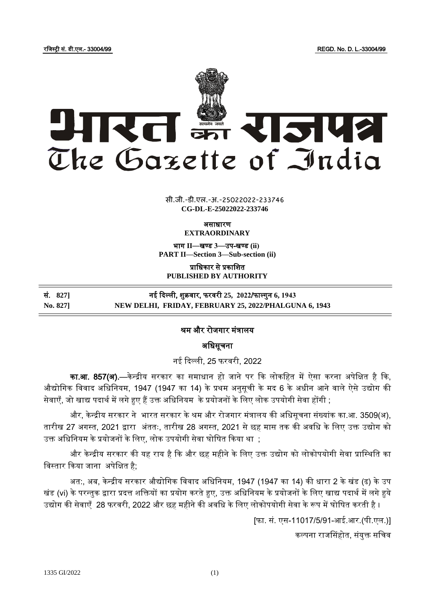रजजस्ट्री सं. डी.एल.- 33004/99 REGD. No. D. L.-33004/99



 $\overline{\phantom{a}}$   $\overline{\phantom{a}}$   $\overline{\phantom{a}}$   $\overline{\phantom{a}}$   $\overline{\phantom{a}}$   $\overline{\phantom{a}}$   $\overline{\phantom{a}}$   $\overline{\phantom{a}}$   $\overline{\phantom{a}}$   $\overline{\phantom{a}}$   $\overline{\phantom{a}}$   $\overline{\phantom{a}}$   $\overline{\phantom{a}}$   $\overline{\phantom{a}}$   $\overline{\phantom{a}}$   $\overline{\phantom{a}}$   $\overline{\phantom{a}}$   $\overline{\phantom{a}}$   $\overline{\$ सी.जी.-डी.एल.-अ.-25022022-233<mark>74</mark>6 **CG-DL-E-25022022-233746**

ऄसाधारण

**EXTRAORDINARY**

भाग **II**—खण् ड **3**—उप-खण् ड **(ii) PART II—Section 3—Sub-section (ii)**

प्राजधकार से प्रकाजित **PUBLISHED BY AUTHORITY**

| सं. 8271 | नई दिल्ली, शुक्रवार, फरवरी 25,  2022/फाल्गुन 6, 1943  |
|----------|-------------------------------------------------------|
| No. 827] | NEW DELHI, FRIDAY, FEBRUARY 25, 2022/PHALGUNA 6, 1943 |

## श्रम और रोजगार मंत्रालय

अधिसूचना

नई ददल्ली, 25 फरवरी, 2022

<mark>का.आ. 857(अ).</mark>—केन्द्रीय सरकार का समाधान हो जाने पर कि लोकहित में ऐसा करना अपेक्षित है कि. औद्योगिक विवाद अधिनियम, 1947 (1947 का 14) के प्रथम अनुसूची के मद 6 के अधीन आने वाले ऐसे उद्योग की सेवाएँ, जो खाद्य पदार्थ में लगे हुए हैं उक्त अधिनियम के प्रयोजनों के लिए लोक उपयोगी सेवा होंगी ;

और, केन्द्रीय सरकार ने भारत सरकार के श्रम और रोजगार मंत्रालय की अधिसूचना संख्यांक का.आ. 3509(अ), तारीख 27 अगस्त, 2021 द्वारा अंततः, तारीख 28 अगस्त, 2021 से छह मास तक की अवधि के लिए उक्त उद्योग को उक्त अधिनियम के प्रयोजनों के लिए, लोक उपयोगी सेवा घोषित किया था ;

और केन्द्रीय सरकार की यह राय है कि और छह महीने के लिए उक्त उद्योग को लोकोपयोगी सेवा प्रास्थिति का विस्तार किया जाना अपेक्षित है;

अत:, अब, केन्द्रीय सरकार औद्योगिक विवाद अधिनियम, 1947 (1947 का 14) की धारा 2 के खंड (ढ) के उप खंड (vi) के परन्तुक द्वारा प्रदत्त शक्तियों का प्रयोग करते हुए, उक्त अधिनियम के प्रयोजनों के लिए खाद्य पदार्थ में लगे हुये उद्योग की सेवाएँ 28 फरवरी, 2022 और छह महीने की अवधि के लिए लोकोपयोगी सेवा के रूप में घोषित करती है ।

[फा. सं. एस-11017/5/91-अई.अर.(पी.एल.)]

कल्पना राजससहोत, संयुक्त सजचव